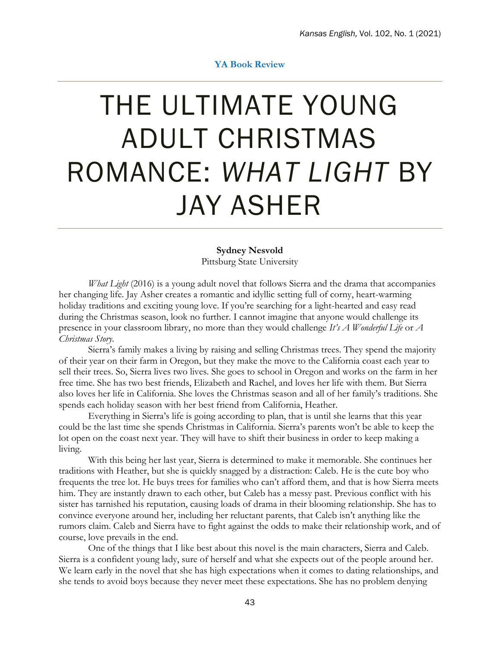## **YA Book Review**

## THE ULTIMATE YOUNG ADULT CHRISTMAS ROMANCE: *WHAT LIGHT* BY JAY ASHER

## **Sydney Nesvold**

Pittsburg State University

*What Light* (2016) is a young adult novel that follows Sierra and the drama that accompanies her changing life. Jay Asher creates a romantic and idyllic setting full of corny, heart-warming holiday traditions and exciting young love. If you're searching for a light-hearted and easy read during the Christmas season, look no further. I cannot imagine that anyone would challenge its presence in your classroom library, no more than they would challenge *It's A Wonderful Life* or *A Christmas Story*.

Sierra's family makes a living by raising and selling Christmas trees. They spend the majority of their year on their farm in Oregon, but they make the move to the California coast each year to sell their trees. So, Sierra lives two lives. She goes to school in Oregon and works on the farm in her free time. She has two best friends, Elizabeth and Rachel, and loves her life with them. But Sierra also loves her life in California. She loves the Christmas season and all of her family's traditions. She spends each holiday season with her best friend from California, Heather.

Everything in Sierra's life is going according to plan, that is until she learns that this year could be the last time she spends Christmas in California. Sierra's parents won't be able to keep the lot open on the coast next year. They will have to shift their business in order to keep making a living.

With this being her last year, Sierra is determined to make it memorable. She continues her traditions with Heather, but she is quickly snagged by a distraction: Caleb. He is the cute boy who frequents the tree lot. He buys trees for families who can't afford them, and that is how Sierra meets him. They are instantly drawn to each other, but Caleb has a messy past. Previous conflict with his sister has tarnished his reputation, causing loads of drama in their blooming relationship. She has to convince everyone around her, including her reluctant parents, that Caleb isn't anything like the rumors claim. Caleb and Sierra have to fight against the odds to make their relationship work, and of course, love prevails in the end.

One of the things that I like best about this novel is the main characters, Sierra and Caleb. Sierra is a confident young lady, sure of herself and what she expects out of the people around her. We learn early in the novel that she has high expectations when it comes to dating relationships, and she tends to avoid boys because they never meet these expectations. She has no problem denying